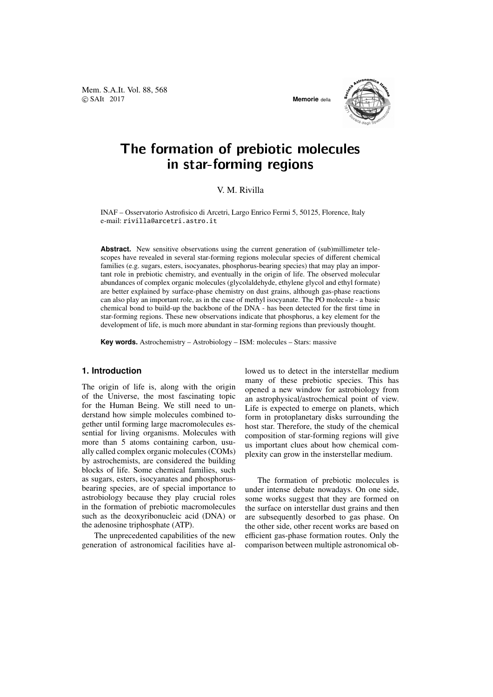Mem. S.A.It. Vol. 88, 568 c SAIt 2017 **Memorie** della



# The formation of prebiotic molecules in star-forming regions

V. M. Rivilla

INAF – Osservatorio Astrofisico di Arcetri, Largo Enrico Fermi 5, 50125, Florence, Italy e-mail: rivilla@arcetri.astro.it

**Abstract.** New sensitive observations using the current generation of (sub)millimeter telescopes have revealed in several star-forming regions molecular species of different chemical families (e.g. sugars, esters, isocyanates, phosphorus-bearing species) that may play an important role in prebiotic chemistry, and eventually in the origin of life. The observed molecular abundances of complex organic molecules (glycolaldehyde, ethylene glycol and ethyl formate) are better explained by surface-phase chemistry on dust grains, although gas-phase reactions can also play an important role, as in the case of methyl isocyanate. The PO molecule - a basic chemical bond to build-up the backbone of the DNA - has been detected for the first time in star-forming regions. These new observations indicate that phosphorus, a key element for the development of life, is much more abundant in star-forming regions than previously thought.

**Key words.** Astrochemistry – Astrobiology – ISM: molecules – Stars: massive

#### **1. Introduction**

The origin of life is, along with the origin of the Universe, the most fascinating topic for the Human Being. We still need to understand how simple molecules combined together until forming large macromolecules essential for living organisms. Molecules with more than 5 atoms containing carbon, usually called complex organic molecules (COMs) by astrochemists, are considered the building blocks of life. Some chemical families, such as sugars, esters, isocyanates and phosphorusbearing species, are of special importance to astrobiology because they play crucial roles in the formation of prebiotic macromolecules such as the deoxyribonucleic acid (DNA) or the adenosine triphosphate (ATP).

The unprecedented capabilities of the new generation of astronomical facilities have allowed us to detect in the interstellar medium many of these prebiotic species. This has opened a new window for astrobiology from an astrophysical/astrochemical point of view. Life is expected to emerge on planets, which form in protoplanetary disks surrounding the host star. Therefore, the study of the chemical composition of star-forming regions will give us important clues about how chemical complexity can grow in the insterstellar medium.

The formation of prebiotic molecules is under intense debate nowadays. On one side, some works suggest that they are formed on the surface on interstellar dust grains and then are subsequently desorbed to gas phase. On the other side, other recent works are based on efficient gas-phase formation routes. Only the comparison between multiple astronomical ob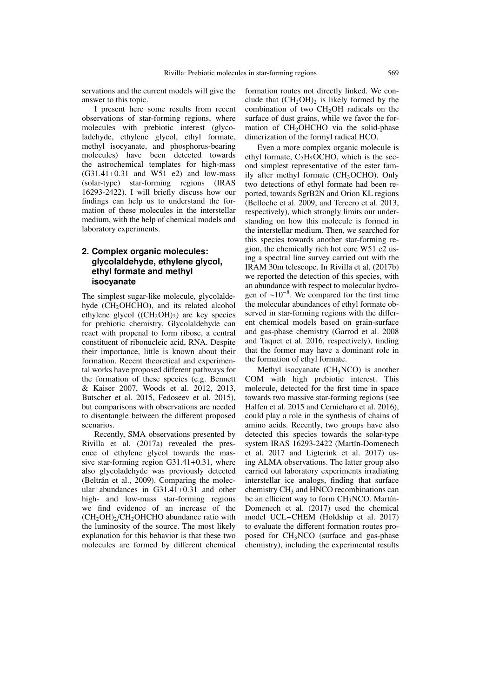servations and the current models will give the answer to this topic.

I present here some results from recent observations of star-forming regions, where molecules with prebiotic interest (glycoladehyde, ethylene glycol, ethyl formate, methyl isocyanate, and phosphorus-bearing molecules) have been detected towards the astrochemical templates for high-mass  $(G31.41 + 0.31$  and  $W51$  e2) and low-mass (solar-type) star-forming regions (IRAS 16293-2422). I will briefly discuss how our findings can help us to understand the formation of these molecules in the interstellar medium, with the help of chemical models and laboratory experiments.

## **2. Complex organic molecules: glycolaldehyde, ethylene glycol, ethyl formate and methyl isocyanate**

The simplest sugar-like molecule, glycolaldehyde  $(CH<sub>2</sub>OHCHO)$ , and its related alcohol ethylene glycol  $((CH<sub>2</sub>OH)<sub>2</sub>)$  are key species for prebiotic chemistry. Glycolaldehyde can react with propenal to form ribose, a central constituent of ribonucleic acid, RNA. Despite their importance, little is known about their formation. Recent theoretical and experimental works have proposed different pathways for the formation of these species (e.g. Bennett & Kaiser 2007, Woods et al. 2012, 2013, Butscher et al. 2015, Fedoseev et al. 2015), but comparisons with observations are needed to disentangle between the different proposed scenarios.

Recently, SMA observations presented by Rivilla et al. (2017a) revealed the presence of ethylene glycol towards the massive star-forming region G31.41+0.31, where also glycoladehyde was previously detected (Beltrán et al., 2009). Comparing the molecular abundances in G31.41+0.31 and other high- and low-mass star-forming regions we find evidence of an increase of the  $(CH<sub>2</sub>OH)<sub>2</sub>/CH<sub>2</sub>OHCHO$  abundance ratio with the luminosity of the source. The most likely explanation for this behavior is that these two molecules are formed by different chemical formation routes not directly linked. We conclude that  $(CH<sub>2</sub>OH)<sub>2</sub>$  is likely formed by the combination of two  $CH<sub>2</sub>OH$  radicals on the surface of dust grains, while we favor the formation of CH<sub>2</sub>OHCHO via the solid-phase dimerization of the formyl radical HCO.

Even a more complex organic molecule is ethyl formate,  $C_2H_5OCHO$ , which is the second simplest representative of the ester family after methyl formate (CH<sub>3</sub>OCHO). Only two detections of ethyl formate had been reported, towards SgrB2N and Orion KL regions (Belloche et al. 2009, and Tercero et al. 2013, respectively), which strongly limits our understanding on how this molecule is formed in the interstellar medium. Then, we searched for this species towards another star-forming region, the chemically rich hot core W51 e2 using a spectral line survey carried out with the IRAM 30m telescope. In Rivilla et al. (2017b) we reported the detection of this species, with an abundance with respect to molecular hydrogen of ∼10<sup>−</sup><sup>8</sup> . We compared for the first time the molecular abundances of ethyl formate observed in star-forming regions with the different chemical models based on grain-surface and gas-phase chemistry (Garrod et al. 2008 and Taquet et al. 2016, respectively), finding that the former may have a dominant role in the formation of ethyl formate.

Methyl isocyanate  $(CH<sub>3</sub>NCO)$  is another COM with high prebiotic interest. This molecule, detected for the first time in space towards two massive star-forming regions (see Halfen et al. 2015 and Cernicharo et al. 2016), could play a role in the synthesis of chains of amino acids. Recently, two groups have also detected this species towards the solar-type system IRAS 16293-2422 (Martín-Domenech et al. 2017 and Ligterink et al. 2017) using ALMA observations. The latter group also carried out laboratory experiments irradiating interstellar ice analogs, finding that surface chemistry  $CH<sub>3</sub>$  and HNCO recombinations can be an efficient way to form  $CH<sub>3</sub>NCO$ . Martín-Domenech et al. (2017) used the chemical model UCL−CHEM (Holdship et al. 2017) to evaluate the different formation routes proposed for CH3NCO (surface and gas-phase chemistry), including the experimental results